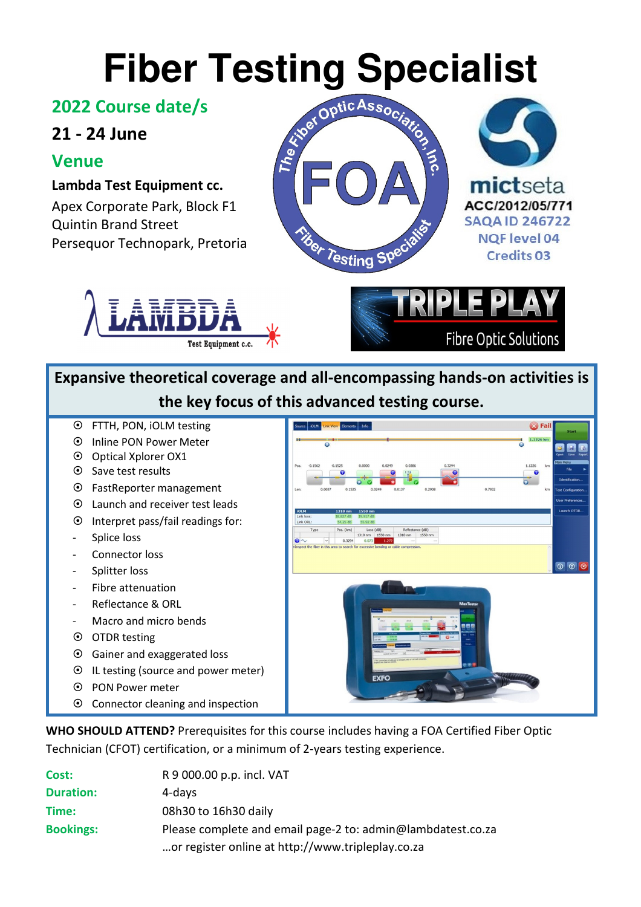#### **2022 Course date/s**

## **21 - 24 June**

### **Venue**

**Lambda Test Equipment cc.**  Apex Corporate Park, Block F1 Quintin Brand Street Persequor Technopark, Pretoria







# **Expansive theoretical coverage and all-encompassing hands-on activities is the key focus of this advanced testing course.**

- FTTH, PON, iOLM testing
- Inline PON Power Meter
- $\odot$  Optical Xplorer OX1
- **⊙** Save test results
- FastReporter management
- Launch and receiver test leads
- $\odot$  Interpret pass/fail readings for:
- Splice loss
- Connector loss
- Splitter loss
- Fibre attenuation
- Reflectance & ORL
- Macro and micro bends
- OTDR testing
- Gainer and exaggerated loss
- IL testing (source and power meter)
- PON Power meter
- Connector cleaning and inspection



**WHO SHOULD ATTEND?** Prerequisites for this course includes having a FOA Certified Fiber Optic Technician (CFOT) certification, or a minimum of 2-years testing experience.

| Cost:            | R 9 000.00 p.p. incl. VAT                                   |
|------------------|-------------------------------------------------------------|
| <b>Duration:</b> | 4-days                                                      |
| Time:            | 08h30 to 16h30 daily                                        |
| <b>Bookings:</b> | Please complete and email page-2 to: admin@lambdatest.co.za |
|                  | or register online at http://www.tripleplay.co.za           |